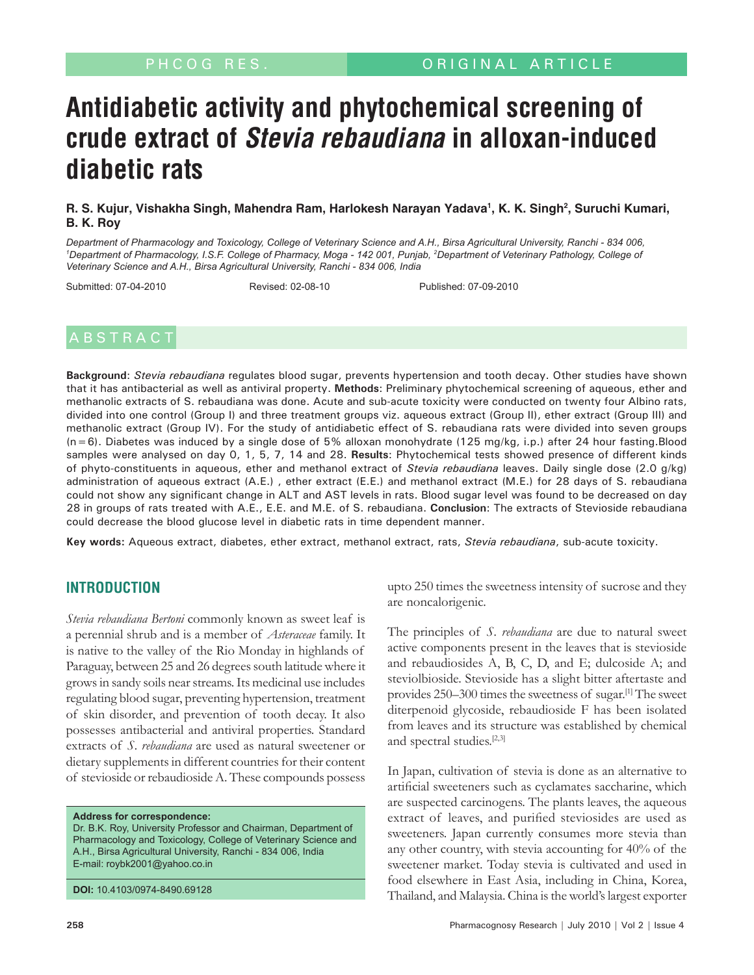# **Antidiabetic activity and phytochemical screening of crude extract of Stevia rebaudiana in alloxan-induced diabetic rats**

# R. S. Kujur, Vishakha Singh, Mahendra Ram, Harlokesh Narayan Yadava<sup>1</sup>, K. K. Singh<sup>2</sup>, Suruchi Kumari, **B. K. Roy**

*Department of Pharmacology and Toxicology, College of Veterinary Science and A.H., Birsa Agricultural University, Ranchi - 834 006,*  <sup>1</sup>Department of Pharmacology, I.S.F. College of Pharmacy, Moga - 142 001, Punjab, <sup>2</sup>Department of Veterinary Pathology, College of *Veterinary Science and A.H., Birsa Agricultural University, Ranchi - 834 006, India*

Submitted: 07-04-2010 Revised: 02-08-10 Published: 07-09-2010

**Background**: *Stevia rebaudiana* regulates blood sugar, prevents hypertension and tooth decay. Other studies have shown that it has antibacterial as well as antiviral property. **Methods**: Preliminary phytochemical screening of aqueous, ether and methanolic extracts of S. rebaudiana was done. Acute and sub-acute toxicity were conducted on twenty four Albino rats, divided into one control (Group I) and three treatment groups viz. aqueous extract (Group II), ether extract (Group III) and methanolic extract (Group IV). For the study of antidiabetic effect of S. rebaudiana rats were divided into seven groups (n=6). Diabetes was induced by a single dose of 5% alloxan monohydrate (125 mg/kg, i.p.) after 24 hour fasting.Blood samples were analysed on day 0, 1, 5, 7, 14 and 28. **Results**: Phytochemical tests showed presence of different kinds of phyto-constituents in aqueous, ether and methanol extract of *Stevia rebaudiana* leaves. Daily single dose (2.0 g/kg) administration of aqueous extract (A.E.) , ether extract (E.E.) and methanol extract (M.E.) for 28 days of S. rebaudiana could not show any significant change in ALT and AST levels in rats. Blood sugar level was found to be decreased on day 28 in groups of rats treated with A.E., E.E. and M.E. of S. rebaudiana. **Conclusion**: The extracts of Stevioside rebaudiana could decrease the blood glucose level in diabetic rats in time dependent manner.

**Key words:** Aqueous extract, diabetes, ether extract, methanol extract, rats, *Stevia rebaudiana*, sub-acute toxicity.

# **INTRODUCTION**

*Stevia rebaudiana Bertoni* commonly known as sweet leaf is a perennial shrub and is a member of *Asteraceae* family. It is native to the valley of the Rio Monday in highlands of Paraguay, between 25 and 26 degrees south latitude where it grows in sandy soils near streams. Its medicinal use includes regulating blood sugar, preventing hypertension, treatment of skin disorder, and prevention of tooth decay. It also possesses antibacterial and antiviral properties. Standard extracts of *S. rebaudiana* are used as natural sweetener or dietary supplements in different countries for their content of stevioside or rebaudioside A. These compounds possess

**Address for correspondence:**

Dr. B.K. Roy, University Professor and Chairman, Department of Pharmacology and Toxicology, College of Veterinary Science and A.H., Birsa Agricultural University, Ranchi - 834 006, India E-mail: roybk2001@yahoo.co.in

**DOI:** 10.4103/0974-8490.69128

upto 250 times the sweetness intensity of sucrose and they are noncalorigenic.

The principles of *S. rebaudiana* are due to natural sweet active components present in the leaves that is stevioside and rebaudiosides A, B, C, D, and E; dulcoside A; and steviolbioside. Stevioside has a slight bitter aftertaste and provides 250–300 times the sweetness of sugar.[1] The sweet diterpenoid glycoside, rebaudioside F has been isolated from leaves and its structure was established by chemical and spectral studies.<sup>[2,3]</sup>

In Japan, cultivation of stevia is done as an alternative to artificial sweeteners such as cyclamates saccharine, which are suspected carcinogens. The plants leaves, the aqueous extract of leaves, and purified steviosides are used as sweeteners. Japan currently consumes more stevia than any other country, with stevia accounting for 40% of the sweetener market. Today stevia is cultivated and used in food elsewhere in East Asia, including in China, Korea, Thailand, and Malaysia. China is the world's largest exporter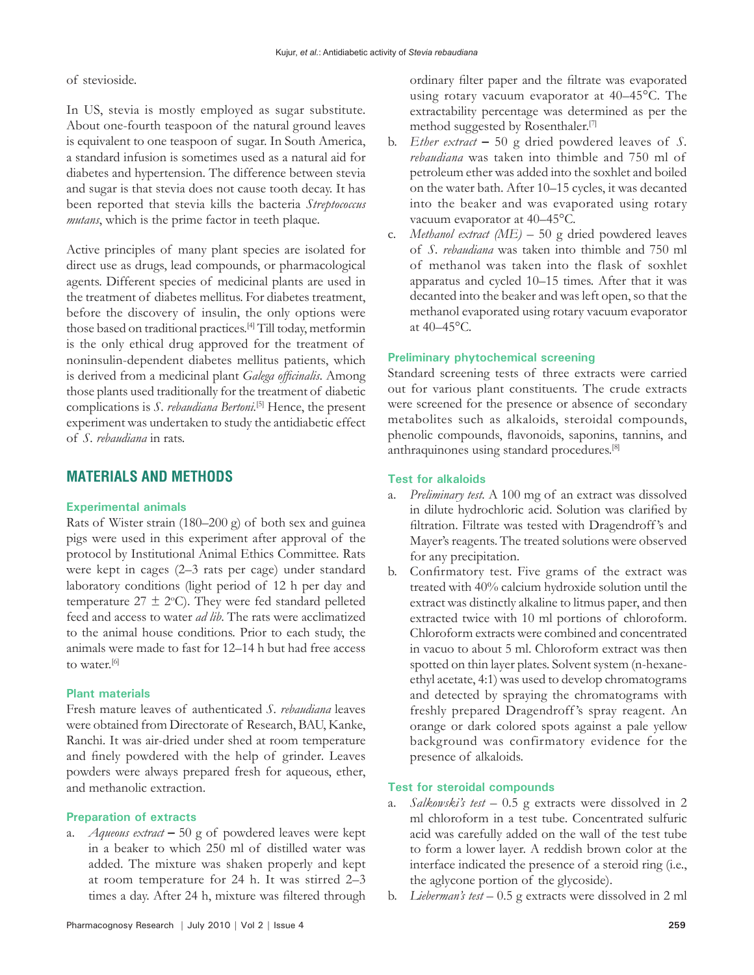#### of stevioside.

In US, stevia is mostly employed as sugar substitute. About one-fourth teaspoon of the natural ground leaves is equivalent to one teaspoon of sugar. In South America, a standard infusion is sometimes used as a natural aid for diabetes and hypertension. The difference between stevia and sugar is that stevia does not cause tooth decay. It has been reported that stevia kills the bacteria *Streptococcus mutans*, which is the prime factor in teeth plaque.

Active principles of many plant species are isolated for direct use as drugs, lead compounds, or pharmacological agents. Different species of medicinal plants are used in the treatment of diabetes mellitus. For diabetes treatment, before the discovery of insulin, the only options were those based on traditional practices.[4] Till today, metformin is the only ethical drug approved for the treatment of noninsulin-dependent diabetes mellitus patients, which is derived from a medicinal plant *Galega officinalis*. Among those plants used traditionally for the treatment of diabetic complications is *S. rebaudiana Bertoni*.<sup>[5]</sup> Hence, the present experiment was undertaken to study the antidiabetic effect of *S. rebaudiana* in rats.

# **MATERIALS AND METHODS**

# **Experimental animals**

Rats of Wister strain (180–200 g) of both sex and guinea pigs were used in this experiment after approval of the protocol by Institutional Animal Ethics Committee. Rats were kept in cages (2–3 rats per cage) under standard laboratory conditions (light period of 12 h per day and temperature  $27 \pm 2$ °C). They were fed standard pelleted feed and access to water *ad lib*. The rats were acclimatized to the animal house conditions. Prior to each study, the animals were made to fast for 12–14 h but had free access to water.<sup>[6]</sup>

# **Plant materials**

Fresh mature leaves of authenticated *S. rebaudiana* leaves were obtained from Directorate of Research, BAU, Kanke, Ranchi. It was air-dried under shed at room temperature and finely powdered with the help of grinder. Leaves powders were always prepared fresh for aqueous, ether, and methanolic extraction.

#### **Preparation of extracts**

a. *Aqueous extract* **–** 50 g of powdered leaves were kept in a beaker to which 250 ml of distilled water was added. The mixture was shaken properly and kept at room temperature for 24 h. It was stirred 2–3 times a day. After 24 h, mixture was filtered through ordinary filter paper and the filtrate was evaporated using rotary vacuum evaporator at 40–45°C. The extractability percentage was determined as per the method suggested by Rosenthaler.[7]

- b. *Ether extract* **–** 50 g dried powdered leaves of *S. rebaudiana* was taken into thimble and 750 ml of petroleum ether was added into the soxhlet and boiled on the water bath. After 10–15 cycles, it was decanted into the beaker and was evaporated using rotary vacuum evaporator at 40–45°C.
- c. *Methanol extract (ME) –* 50 g dried powdered leaves of *S. rebaudiana* was taken into thimble and 750 ml of methanol was taken into the flask of soxhlet apparatus and cycled 10–15 times. After that it was decanted into the beaker and was left open, so that the methanol evaporated using rotary vacuum evaporator at 40–45°C.

#### **Preliminary phytochemical screening**

Standard screening tests of three extracts were carried out for various plant constituents. The crude extracts were screened for the presence or absence of secondary metabolites such as alkaloids, steroidal compounds, phenolic compounds, flavonoids, saponins, tannins, and anthraquinones using standard procedures.[8]

#### **Test for alkaloids**

- a. *Preliminary test.* A 100 mg of an extract was dissolved in dilute hydrochloric acid. Solution was clarified by filtration. Filtrate was tested with Dragendroff 's and Mayer's reagents. The treated solutions were observed for any precipitation.
- b. Confirmatory test. Five grams of the extract was treated with 40% calcium hydroxide solution until the extract was distinctly alkaline to litmus paper, and then extracted twice with 10 ml portions of chloroform. Chloroform extracts were combined and concentrated in vacuo to about 5 ml. Chloroform extract was then spotted on thin layer plates. Solvent system (n-hexaneethyl acetate, 4:1) was used to develop chromatograms and detected by spraying the chromatograms with freshly prepared Dragendroff 's spray reagent. An orange or dark colored spots against a pale yellow background was confirmatory evidence for the presence of alkaloids.

#### **Test for steroidal compounds**

- a. *Salkowski's test* 0.5 g extracts were dissolved in 2 ml chloroform in a test tube. Concentrated sulfuric acid was carefully added on the wall of the test tube to form a lower layer. A reddish brown color at the interface indicated the presence of a steroid ring (i.e., the aglycone portion of the glycoside).
- b. *Lieberman's test* 0.5 g extracts were dissolved in 2 ml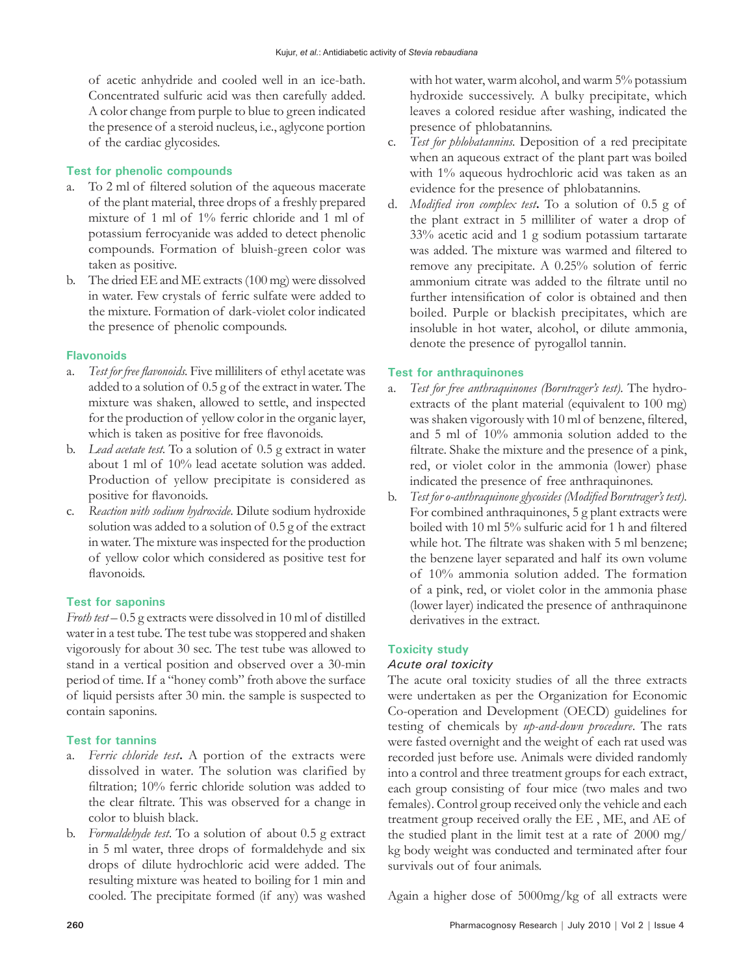of acetic anhydride and cooled well in an ice-bath. Concentrated sulfuric acid was then carefully added. A color change from purple to blue to green indicated the presence of a steroid nucleus, i.e., aglycone portion of the cardiac glycosides.

# **Test for phenolic compounds**

- a. To 2 ml of filtered solution of the aqueous macerate of the plant material, three drops of a freshly prepared mixture of 1 ml of 1% ferric chloride and 1 ml of potassium ferrocyanide was added to detect phenolic compounds. Formation of bluish-green color was taken as positive.
- b. The dried EE and ME extracts (100 mg) were dissolved in water. Few crystals of ferric sulfate were added to the mixture. Formation of dark-violet color indicated the presence of phenolic compounds.

# **Flavonoids**

- a. *Test for free flavonoids.* Five milliliters of ethyl acetate was added to a solution of 0.5 g of the extract in water. The mixture was shaken, allowed to settle, and inspected for the production of yellow color in the organic layer, which is taken as positive for free flavonoids.
- b. *Lead acetate test.* To a solution of 0.5 g extract in water about 1 ml of 10% lead acetate solution was added. Production of yellow precipitate is considered as positive for flavonoids.
- c. *Reaction with sodium hydroxide*. Dilute sodium hydroxide solution was added to a solution of 0.5 g of the extract in water. The mixture was inspected for the production of yellow color which considered as positive test for flavonoids.

# **Test for saponins**

*Froth test –* 0.5 g extracts were dissolved in 10 ml of distilled water in a test tube. The test tube was stoppered and shaken vigorously for about 30 sec. The test tube was allowed to stand in a vertical position and observed over a 30-min period of time. If a "honey comb" froth above the surface of liquid persists after 30 min. the sample is suspected to contain saponins.

# **Test for tannins**

- a. *Ferric chloride test***.** A portion of the extracts were dissolved in water. The solution was clarified by filtration; 10% ferric chloride solution was added to the clear filtrate. This was observed for a change in color to bluish black.
- b. *Formaldehyde test*. To a solution of about 0.5 g extract in 5 ml water, three drops of formaldehyde and six drops of dilute hydrochloric acid were added. The resulting mixture was heated to boiling for 1 min and cooled. The precipitate formed (if any) was washed

with hot water, warm alcohol, and warm 5% potassium hydroxide successively. A bulky precipitate, which leaves a colored residue after washing, indicated the presence of phlobatannins.

- c. *Test for phlobatannins.* Deposition of a red precipitate when an aqueous extract of the plant part was boiled with 1% aqueous hydrochloric acid was taken as an evidence for the presence of phlobatannins.
- d. *Modified iron complex test***.** To a solution of 0.5 g of the plant extract in 5 milliliter of water a drop of 33% acetic acid and 1 g sodium potassium tartarate was added. The mixture was warmed and filtered to remove any precipitate. A 0.25% solution of ferric ammonium citrate was added to the filtrate until no further intensification of color is obtained and then boiled. Purple or blackish precipitates, which are insoluble in hot water, alcohol, or dilute ammonia, denote the presence of pyrogallol tannin.

# **Test for anthraquinones**

- a. *Test for free anthraquinones (Borntrager's test).* The hydroextracts of the plant material (equivalent to 100 mg) was shaken vigorously with 10 ml of benzene, filtered, and 5 ml of 10% ammonia solution added to the filtrate. Shake the mixture and the presence of a pink, red, or violet color in the ammonia (lower) phase indicated the presence of free anthraquinones.
- b. *Test for o-anthraquinone glycosides (Modified Borntrager's test).* For combined anthraquinones, 5 g plant extracts were boiled with 10 ml 5% sulfuric acid for 1 h and filtered while hot. The filtrate was shaken with 5 ml benzene; the benzene layer separated and half its own volume of 10% ammonia solution added. The formation of a pink, red, or violet color in the ammonia phase (lower layer) indicated the presence of anthraquinone derivatives in the extract.

# **Toxicity study**

# *Acute oral toxicity*

The acute oral toxicity studies of all the three extracts were undertaken as per the Organization for Economic Co-operation and Development (OECD) guidelines for testing of chemicals by *up-and-down procedure*. The rats were fasted overnight and the weight of each rat used was recorded just before use. Animals were divided randomly into a control and three treatment groups for each extract, each group consisting of four mice (two males and two females). Control group received only the vehicle and each treatment group received orally the EE , ME, and AE of the studied plant in the limit test at a rate of 2000 mg/ kg body weight was conducted and terminated after four survivals out of four animals.

Again a higher dose of 5000mg/kg of all extracts were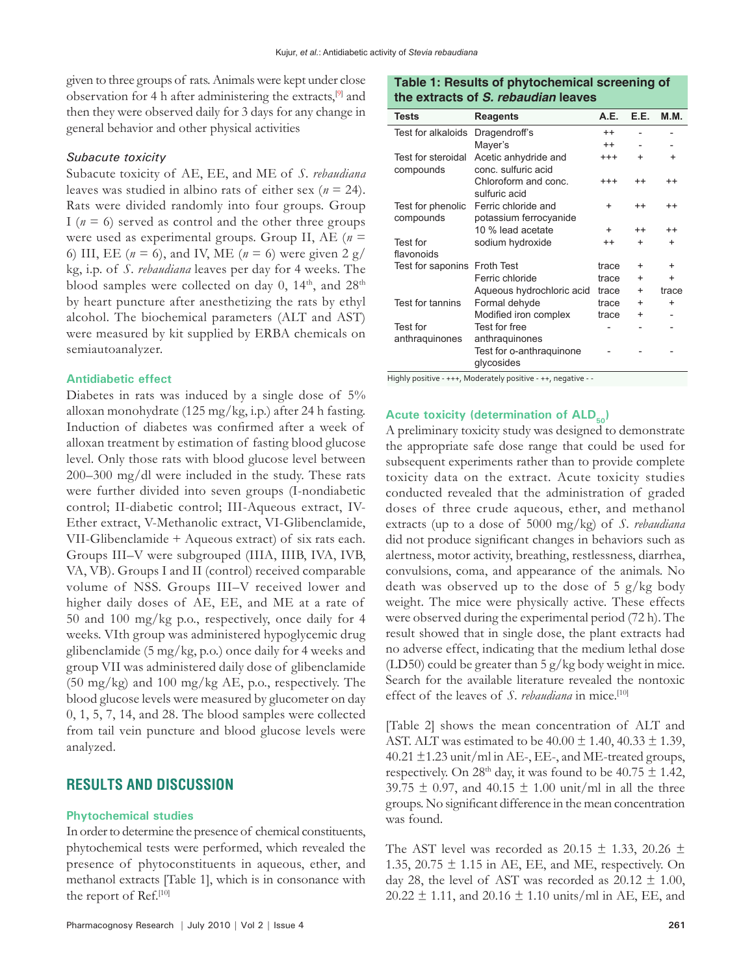given to three groups of rats. Animals were kept under close observation for 4 h after administering the extracts,<sup>[9]</sup> and then they were observed daily for 3 days for any change in general behavior and other physical activities

#### *Subacute toxicity*

Subacute toxicity of AE, EE, and ME of *S. rebaudiana*  leaves was studied in albino rats of either sex (*n* = 24). Rats were divided randomly into four groups. Group I ( $n = 6$ ) served as control and the other three groups were used as experimental groups. Group II, AE (*n* = 6) III, EE ( $n = 6$ ), and IV, ME ( $n = 6$ ) were given 2 g/ kg, i.p. of *S. rebaudiana* leaves per day for 4 weeks. The blood samples were collected on day 0, 14<sup>th</sup>, and 28<sup>th</sup> by heart puncture after anesthetizing the rats by ethyl alcohol. The biochemical parameters (ALT and AST) were measured by kit supplied by ERBA chemicals on semiautoanalyzer.

#### **Antidiabetic effect**

Diabetes in rats was induced by a single dose of 5% alloxan monohydrate (125 mg/kg, i.p.) after 24 h fasting. Induction of diabetes was confirmed after a week of alloxan treatment by estimation of fasting blood glucose level. Only those rats with blood glucose level between 200–300 mg/dl were included in the study. These rats were further divided into seven groups (I-nondiabetic control; II-diabetic control; III-Aqueous extract, IV-Ether extract, V-Methanolic extract, VI-Glibenclamide, VII-Glibenclamide + Aqueous extract) of six rats each. Groups III–V were subgrouped (IIIA, IIIB, IVA, IVB, VA, VB). Groups I and II (control) received comparable volume of NSS. Groups III–V received lower and higher daily doses of AE, EE, and ME at a rate of 50 and 100 mg/kg p.o., respectively, once daily for 4 weeks. VIth group was administered hypoglycemic drug glibenclamide (5 mg/kg, p.o.) once daily for 4 weeks and group VII was administered daily dose of glibenclamide (50 mg/kg) and 100 mg/kg AE, p.o., respectively. The blood glucose levels were measured by glucometer on day 0, 1, 5, 7, 14, and 28. The blood samples were collected from tail vein puncture and blood glucose levels were analyzed.

# **RESULTS AND DISCUSSION**

#### **Phytochemical studies**

In order to determine the presence of chemical constituents, phytochemical tests were performed, which revealed the presence of phytoconstituents in aqueous, ether, and methanol extracts [Table 1], which is in consonance with the report of Ref.<sup>[10]</sup>

# **Table 1: Results of phytochemical screening of the extracts of S. rebaudian leaves**

| <b>Tests</b>       | <b>Reagents</b>           | A.E.      | E.E.      | <b>M.M.</b> |
|--------------------|---------------------------|-----------|-----------|-------------|
| Test for alkaloids | Dragendroff's             | $++$      |           |             |
|                    | Mayer's                   | $^{++}$   |           |             |
| Test for steroidal | Acetic anhydride and      | $^{+++}$  | $\ddot{}$ | $\ddot{}$   |
| compounds          | conc. sulfuric acid       |           |           |             |
|                    | Chloroform and conc.      | $^{+++}$  | $^{++}$   | $^{++}$     |
|                    | sulfuric acid             |           |           |             |
| Test for phenolic  | Ferric chloride and       | $\ddot{}$ | $^{++}$   | $^{++}$     |
| compounds          | potassium ferrocyanide    |           |           |             |
|                    | 10 % lead acetate         | $\ddot{}$ | $^{++}$   | $^{++}$     |
| Test for           | sodium hydroxide          | $^{++}$   | $\ddot{}$ | $\ddot{}$   |
| flavonoids         |                           |           |           |             |
| Test for saponins  | <b>Froth Test</b>         | trace     | $\ddot{}$ | $\ddot{}$   |
|                    | Ferric chloride           | trace     | $\ddot{}$ | $\ddot{}$   |
|                    | Aqueous hydrochloric acid | trace     | $+$       | trace       |
| Test for tannins   | Formal dehyde             | trace     | $\ddot{}$ | $\ddot{}$   |
|                    | Modified iron complex     | trace     | $\ddot{}$ |             |
| Test for           | Test for free             |           |           |             |
| anthraquinones     | anthraquinones            |           |           |             |
|                    | Test for o-anthraquinone  |           |           |             |
|                    | glycosides                |           |           |             |

Highly positive - +++, Moderately positive - ++, negative - -

#### Acute toxicity (determination of ALD<sub>50</sub>)

A preliminary toxicity study was designed to demonstrate the appropriate safe dose range that could be used for subsequent experiments rather than to provide complete toxicity data on the extract. Acute toxicity studies conducted revealed that the administration of graded doses of three crude aqueous, ether, and methanol extracts (up to a dose of 5000 mg/kg) of *S. rebaudiana*  did not produce significant changes in behaviors such as alertness, motor activity, breathing, restlessness, diarrhea, convulsions, coma, and appearance of the animals. No death was observed up to the dose of 5 g/kg body weight. The mice were physically active. These effects were observed during the experimental period (72 h). The result showed that in single dose, the plant extracts had no adverse effect, indicating that the medium lethal dose (LD50) could be greater than  $5 g/kg$  body weight in mice. Search for the available literature revealed the nontoxic effect of the leaves of *S. rebaudiana* in mice.<sup>[10]</sup>

[Table 2] shows the mean concentration of ALT and AST. ALT was estimated to be  $40.00 \pm 1.40$ ,  $40.33 \pm 1.39$ ,  $40.21 \pm 1.23$  unit/ml in AE-, EE-, and ME-treated groups, respectively. On 28<sup>th</sup> day, it was found to be 40.75  $\pm$  1.42, 39.75  $\pm$  0.97, and 40.15  $\pm$  1.00 unit/ml in all the three groups. No significant difference in the mean concentration was found.

The AST level was recorded as 20.15  $\pm$  1.33, 20.26  $\pm$ 1.35,  $20.75 \pm 1.15$  in AE, EE, and ME, respectively. On day 28, the level of AST was recorded as  $20.12 \pm 1.00$ ,  $20.22 \pm 1.11$ , and  $20.16 \pm 1.10$  units/ml in AE, EE, and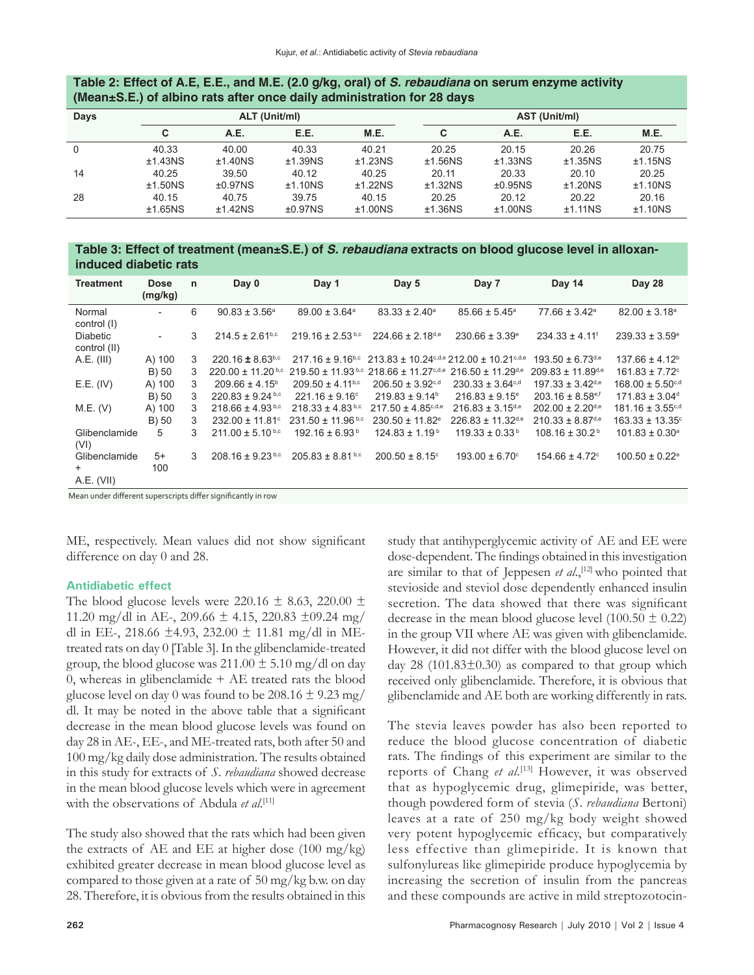| (Mean $\pm$ S.E.) of albino rats after once daily administration for 28 days |               |         |         |               |         |         |         |         |
|------------------------------------------------------------------------------|---------------|---------|---------|---------------|---------|---------|---------|---------|
| Days                                                                         | ALT (Unit/ml) |         |         | AST (Unit/ml) |         |         |         |         |
|                                                                              | C.            | A.E.    | E.E.    | <b>M.E.</b>   | C       | A.E.    | E.E.    | M.E.    |
| $\Omega$                                                                     | 40.33         | 40.00   | 40.33   | 40.21         | 20.25   | 20.15   | 20.26   | 20.75   |
|                                                                              | ±1.43NS       | ±1.40NS | ±1.39NS | ±1.23NS       | ±1.56NS | ±1.33NS | ±1.35NS | ±1.15NS |
| 14                                                                           | 40.25         | 39.50   | 40.12   | 40.25         | 20.11   | 20.33   | 20.10   | 20.25   |
|                                                                              | ±1.50NS       | ±0.97NS | ±1.10NS | ±1.22NS       | ±1.32NS | ±0.95NS | ±1.20NS | ±1.10NS |
| -28                                                                          | 40.15         | 40.75   | 39.75   | 40.15         | 20.25   | 20.12   | 20.22   | 20.16   |
|                                                                              | ±1.65NS       | ±1.42NS | ±0.97NS | ±1.00NS       | ±1.36NS | ±1.00NS | ±1.11NS | ±1.10NS |

# **Table 2: Effect of A.E, E.E., and M.E. (2.0 g/kg, oral) of S. rebaudiana on serum enzyme activity**

**Table 3: Effect of treatment (mean±S.E.) of S. rebaudiana extracts on blood glucose level in alloxaninduced diabetic rats**

| <b>Treatment</b>                | <b>Dose</b><br>(mg/kg)   | $\mathsf{n}$ | Day 0                           | Day 1                            | Day 5                            | Day 7                                             | Day 14                           | Day 28                           |
|---------------------------------|--------------------------|--------------|---------------------------------|----------------------------------|----------------------------------|---------------------------------------------------|----------------------------------|----------------------------------|
| Normal<br>control (I)           |                          | 6            | $90.83 \pm 3.56^a$              | $89.00 \pm 3.64^{\circ}$         | $83.33 \pm 2.40^{\circ}$         | $85.66 \pm 5.45^{\circ}$                          | $77.66 \pm 3.42$ <sup>a</sup>    | $82.00 \pm 3.18$ <sup>a</sup>    |
| <b>Diabetic</b><br>control (II) | $\overline{\phantom{a}}$ | 3            | $214.5 \pm 2.61$ <sub>b,c</sub> | $219.16 \pm 2.53$ b,c            | $224.66 \pm 2.18$ d,e            | $230.66 \pm 3.39^{\circ}$                         | $234.33 \pm 4.11$ <sup>f</sup>   | $239.33 \pm 3.59^{\circ}$        |
| A.E. (III)                      | A) 100                   | 3            | $220.16 \pm 8.63^{b,c}$         | $217.16 \pm 9.16^{b,c}$          |                                  | $213.83 \pm 10.24$ c,d,e $212.00 \pm 10.21$ c,d,e | $193.50 \pm 6.73$ d,e            | $137.66 \pm 4.12^b$              |
|                                 | B) 50                    | 3            | $220.00 \pm 11.20$ b,c          | $219.50 \pm 11.93$ b,c           | $218.66 \pm 11.27$ c,d,e         | $216.50 \pm 11.29$ d,e                            | $209.83 \pm 11.89^{d,e}$         | $161.83 \pm 7.72$ <sup>c</sup>   |
| E.E. (IV)                       | A) 100                   | 3            | $209.66 \pm 4.15^{\circ}$       | $209.50 \pm 4.11$ <sup>b,c</sup> | $206.50 \pm 3.92$ c,d            | $230.33 \pm 3.64$ c,d                             | $197.33 \pm 3.42$ <sup>d,e</sup> | $168.00 \pm 5.50$ <sup>c,d</sup> |
|                                 | B) 50                    | 3            | $220.83 \pm 9.24$ b,c           | $221.16 \pm 9.16$ <sup>c</sup>   | $219.83 \pm 9.14^b$              | $216.83 \pm 9.15$ <sup>e</sup>                    | $203.16 \pm 8.58$ <sup>e,f</sup> | $171.83 \pm 3.04$ <sup>d</sup>   |
| M.E. (V)                        | A) 100                   | 3            | $218.66 \pm 4.93$ b,c           | $218.33 \pm 4.83$ b,c            | $217.50 \pm 4.85^{\text{c,d,e}}$ | $216.83 \pm 3.15$ d,e                             | $202.00 \pm 2.20$ d,e            | $181.16 \pm 3.55$ <sup>c,d</sup> |
|                                 | B) 50                    | 3            | $232.00 \pm 11.81$ °            | $231.50 \pm 11.96$ b,c           | 230.50 ± 11.82 <sup>e</sup>      | $226.83 \pm 11.32$ d,e                            | $210.33 \pm 8.87$ <sup>d,e</sup> | $163.33 \pm 13.35$ <sup>c</sup>  |
| Glibenclamide<br>(VI)           | 5                        | 3            | $211.00 \pm 5.10^{b,c}$         | $192.16 \pm 6.93^{\circ}$        | $124.83 \pm 1.19^{\circ}$        | $119.33 \pm 0.33^{\circ}$                         | $108.16 \pm 30.2^{\circ}$        | $101.83 \pm 0.30^a$              |
| Glibenclamide                   | $5+$                     | 3            | $208.16 \pm 9.23$ b,c           | $205.83 \pm 8.81$ b,c            | $200.50 \pm 8.15$ <sup>c</sup>   | $193.00 \pm 6.70$ <sup>c</sup>                    | $154.66 \pm 4.72$ <sup>c</sup>   | $100.50 \pm 0.22$ <sup>a</sup>   |
| $+$                             | 100                      |              |                                 |                                  |                                  |                                                   |                                  |                                  |
| A.E. (VII)                      |                          |              |                                 |                                  |                                  |                                                   |                                  |                                  |

Mean under different superscripts differ significantly in row

ME, respectively. Mean values did not show significant difference on day 0 and 28.

# **Antidiabetic effect**

The blood glucose levels were 220.16  $\pm$  8.63, 220.00  $\pm$ 11.20 mg/dl in AE-, 209.66  $\pm$  4.15, 220.83  $\pm$ 09.24 mg/ dl in EE-, 218.66  $\pm$ 4.93, 232.00  $\pm$  11.81 mg/dl in MEtreated rats on day 0 [Table 3]. In the glibenclamide-treated group, the blood glucose was  $211.00 \pm 5.10$  mg/dl on day 0, whereas in glibenclamide  $+$  AE treated rats the blood glucose level on day 0 was found to be  $208.16 \pm 9.23$  mg/ dl. It may be noted in the above table that a significant decrease in the mean blood glucose levels was found on day 28 in AE-, EE-, and ME-treated rats, both after 50 and 100 mg/kg daily dose administration. The results obtained in this study for extracts of *S. rebaudiana* showed decrease in the mean blood glucose levels which were in agreement with the observations of Abdula et al.<sup>[11]</sup>

The study also showed that the rats which had been given the extracts of AE and EE at higher dose  $(100 \text{ mg/kg})$ exhibited greater decrease in mean blood glucose level as compared to those given at a rate of 50 mg/kg b.w. on day 28. Therefore, it is obvious from the results obtained in this study that antihyperglycemic activity of AE and EE were dose-dependent. The findings obtained in this investigation are similar to that of Jeppesen *et al.*,<sup>[12]</sup> who pointed that stevioside and steviol dose dependently enhanced insulin secretion. The data showed that there was significant decrease in the mean blood glucose level  $(100.50 \pm 0.22)$ in the group VII where AE was given with glibenclamide. However, it did not differ with the blood glucose level on day 28 (101.83 $\pm$ 0.30) as compared to that group which received only glibenclamide. Therefore, it is obvious that glibenclamide and AE both are working differently in rats.

The stevia leaves powder has also been reported to reduce the blood glucose concentration of diabetic rats. The findings of this experiment are similar to the reports of Chang et al.<sup>[13]</sup> However, it was observed that as hypoglycemic drug, glimepiride, was better, though powdered form of stevia (*S. rebaudiana* Bertoni) leaves at a rate of 250 mg/kg body weight showed very potent hypoglycemic efficacy, but comparatively less effective than glimepiride. It is known that sulfonylureas like glimepiride produce hypoglycemia by increasing the secretion of insulin from the pancreas and these compounds are active in mild streptozotocin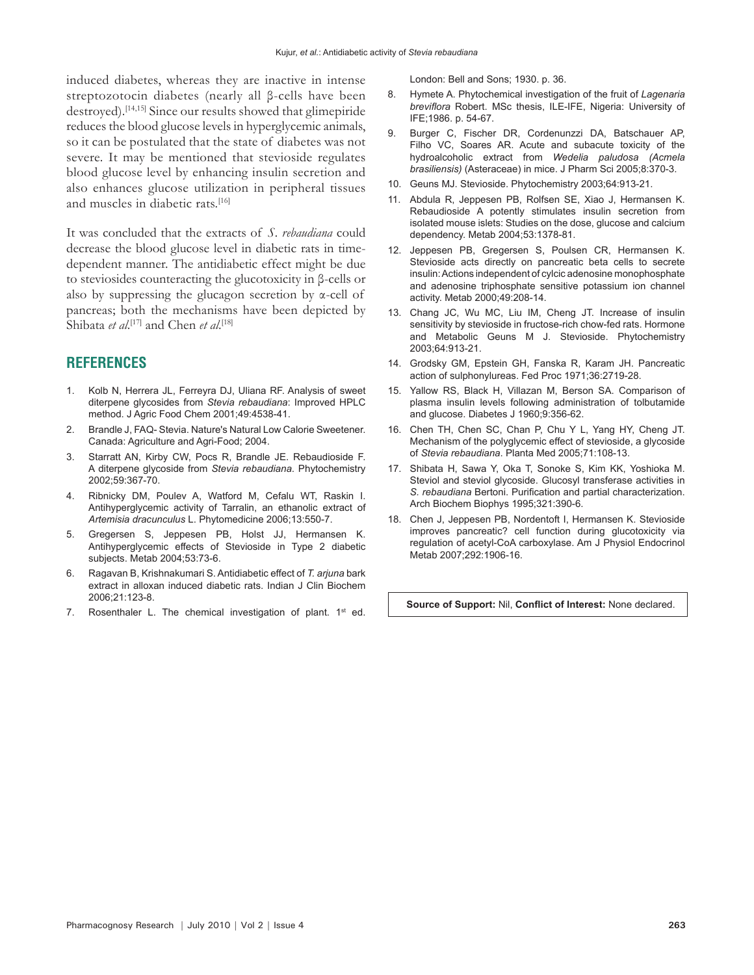induced diabetes, whereas they are inactive in intense streptozotocin diabetes (nearly all β-cells have been destroyed).[14,15] Since our results showed that glimepiride reduces the blood glucose levels in hyperglycemic animals, so it can be postulated that the state of diabetes was not severe. It may be mentioned that stevioside regulates blood glucose level by enhancing insulin secretion and also enhances glucose utilization in peripheral tissues and muscles in diabetic rats.<sup>[16]</sup>

It was concluded that the extracts of *S. rebaudiana* could decrease the blood glucose level in diabetic rats in timedependent manner. The antidiabetic effect might be due to steviosides counteracting the glucotoxicity in β-cells or also by suppressing the glucagon secretion by  $\alpha$ -cell of pancreas; both the mechanisms have been depicted by Shibata *et al*.<sup>[17]</sup> and Chen *et al*.<sup>[18]</sup>

# **REFERENCES**

- 1. Kolb N, Herrera JL, Ferreyra DJ, Uliana RF. Analysis of sweet diterpene glycosides from *Stevia rebaudiana*: Improved HPLC method. J Agric Food Chem 2001;49:4538-41.
- 2. Brandle J, FAQ- Stevia. Nature's Natural Low Calorie Sweetener. Canada: Agriculture and Agri-Food; 2004.
- 3. Starratt AN, Kirby CW, Pocs R, Brandle JE. Rebaudioside F. A diterpene glycoside from *Stevia rebaudiana*. Phytochemistry 2002;59:367-70.
- 4. Ribnicky DM, Poulev A, Watford M, Cefalu WT, Raskin I. Antihyperglycemic activity of Tarralin, an ethanolic extract of *Artemisia dracunculus* L. Phytomedicine 2006;13:550-7.
- 5. Gregersen S, Jeppesen PB, Holst JJ, Hermansen K. Antihyperglycemic effects of Stevioside in Type 2 diabetic subjects. Metab 2004;53:73-6.
- 6. Ragavan B, Krishnakumari S. Antidiabetic effect of *T. arjuna* bark extract in alloxan induced diabetic rats. Indian J Clin Biochem 2006;21:123-8.
- 7. Rosenthaler L. The chemical investigation of plant.  $1<sup>st</sup>$  ed.

London: Bell and Sons; 1930. p. 36.

- 8. Hymete A. Phytochemical investigation of the fruit of *Lagenaria breviflora* Robert. MSc thesis, ILE-IFE, Nigeria: University of IFE;1986. p. 54-67.
- 9. Burger C, Fischer DR, Cordenunzzi DA, Batschauer AP, Filho VC, Soares AR. Acute and subacute toxicity of the hydroalcoholic extract from *Wedelia paludosa (Acmela brasiliensis)* (Asteraceae) in mice. J Pharm Sci 2005;8:370-3.
- 10. Geuns MJ. Stevioside. Phytochemistry 2003;64:913-21.
- 11. Abdula R, Jeppesen PB, Rolfsen SE, Xiao J, Hermansen K. Rebaudioside A potently stimulates insulin secretion from isolated mouse islets: Studies on the dose, glucose and calcium dependency. Metab 2004;53:1378-81.
- 12. Jeppesen PB, Gregersen S, Poulsen CR, Hermansen K. Stevioside acts directly on pancreatic beta cells to secrete insulin: Actions independent of cylcic adenosine monophosphate and adenosine triphosphate sensitive potassium ion channel activity. Metab 2000;49:208-14.
- 13. Chang JC, Wu MC, Liu IM, Cheng JT. Increase of insulin sensitivity by stevioside in fructose-rich chow-fed rats. Hormone and Metabolic Geuns M J. Stevioside. Phytochemistry 2003;64:913-21.
- 14. Grodsky GM, Epstein GH, Fanska R, Karam JH. Pancreatic action of sulphonylureas. Fed Proc 1971;36:2719-28.
- 15. Yallow RS, Black H, Villazan M, Berson SA. Comparison of plasma insulin levels following administration of tolbutamide and glucose. Diabetes J 1960;9:356-62.
- 16. Chen TH, Chen SC, Chan P, Chu Y L, Yang HY, Cheng JT. Mechanism of the polyglycemic effect of stevioside, a glycoside of *Stevia rebaudiana*. Planta Med 2005;71:108-13.
- 17. Shibata H, Sawa Y, Oka T, Sonoke S, Kim KK, Yoshioka M. Steviol and steviol glycoside. Glucosyl transferase activities in *S. rebaudiana* Bertoni. Purification and partial characterization. Arch Biochem Biophys 1995;321:390-6.
- 18. Chen J, Jeppesen PB, Nordentoft I, Hermansen K. Stevioside improves pancreatic? cell function during glucotoxicity via regulation of acetyl-CoA carboxylase. Am J Physiol Endocrinol Metab 2007;292:1906-16.

**Source of Support:** Nil, **Conflict of Interest:** None declared.